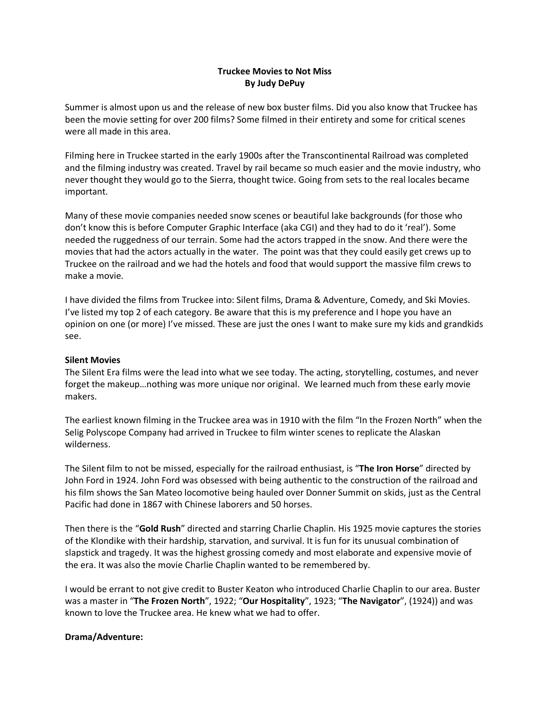## **Truckee Movies to Not Miss By Judy DePuy**

Summer is almost upon us and the release of new box buster films. Did you also know that Truckee has been the movie setting for over 200 films? Some filmed in their entirety and some for critical scenes were all made in this area.

Filming here in Truckee started in the early 1900s after the Transcontinental Railroad was completed and the filming industry was created. Travel by rail became so much easier and the movie industry, who never thought they would go to the Sierra, thought twice. Going from sets to the real locales became important.

Many of these movie companies needed snow scenes or beautiful lake backgrounds (for those who don't know this is before Computer Graphic Interface (aka CGI) and they had to do it 'real'). Some needed the ruggedness of our terrain. Some had the actors trapped in the snow. And there were the movies that had the actors actually in the water. The point was that they could easily get crews up to Truckee on the railroad and we had the hotels and food that would support the massive film crews to make a movie.

I have divided the films from Truckee into: Silent films, Drama & Adventure, Comedy, and Ski Movies. I've listed my top 2 of each category. Be aware that this is my preference and I hope you have an opinion on one (or more) I've missed. These are just the ones I want to make sure my kids and grandkids see.

#### **Silent Movies**

The Silent Era films were the lead into what we see today. The acting, storytelling, costumes, and never forget the makeup…nothing was more unique nor original. We learned much from these early movie makers.

The earliest known filming in the Truckee area was in 1910 with the film "In the Frozen North" when the Selig Polyscope Company had arrived in Truckee to film winter scenes to replicate the Alaskan wilderness.

The Silent film to not be missed, especially for the railroad enthusiast, is "**The Iron Horse**" directed by John Ford in 1924. John Ford was obsessed with being authentic to the construction of the railroad and his film shows the San Mateo locomotive being hauled over Donner Summit on skids, just as the Central Pacific had done in 1867 with Chinese laborers and 50 horses.

Then there is the "**Gold Rush**" directed and starring Charlie Chaplin. His 1925 movie captures the stories of the Klondike with their hardship, starvation, and survival. It is fun for its unusual combination of slapstick and tragedy. It was the highest grossing comedy and most elaborate and expensive movie of the era. It was also the movie Charlie Chaplin wanted to be remembered by.

I would be errant to not give credit to Buster Keaton who introduced Charlie Chaplin to our area. Buster was a master in "**The Frozen North**", 1922; "**Our Hospitality**", 1923; "**The Navigator**", (1924)) and was known to love the Truckee area. He knew what we had to offer.

#### **Drama/Adventure:**